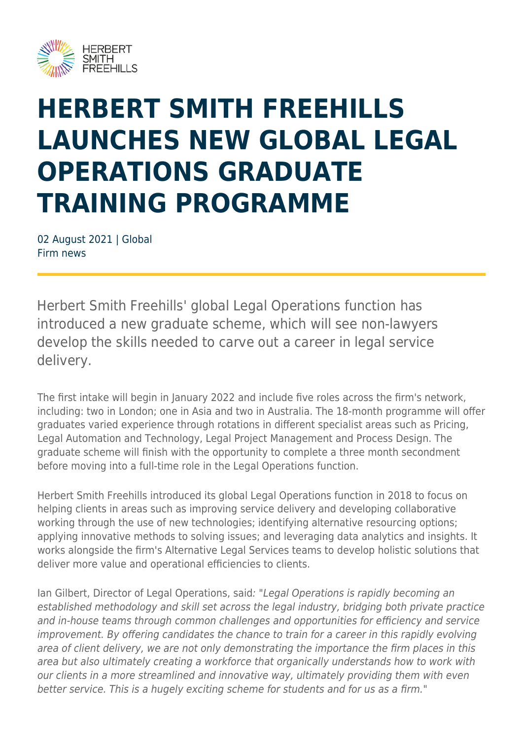

## **HERBERT SMITH FREEHILLS LAUNCHES NEW GLOBAL LEGAL OPERATIONS GRADUATE TRAINING PROGRAMME**

02 August 2021 | Global Firm news

Herbert Smith Freehills' global Legal Operations function has introduced a new graduate scheme, which will see non-lawyers develop the skills needed to carve out a career in legal service delivery.

The first intake will begin in January 2022 and include five roles across the firm's network, including: two in London; one in Asia and two in Australia. The 18-month programme will offer graduates varied experience through rotations in different specialist areas such as Pricing, Legal Automation and Technology, Legal Project Management and Process Design. The graduate scheme will finish with the opportunity to complete a three month secondment before moving into a full-time role in the Legal Operations function.

Herbert Smith Freehills introduced its global Legal Operations function in 2018 to focus on helping clients in areas such as improving service delivery and developing collaborative working through the use of new technologies; identifying alternative resourcing options; applying innovative methods to solving issues; and leveraging data analytics and insights. It works alongside the firm's Alternative Legal Services teams to develop holistic solutions that deliver more value and operational efficiencies to clients.

Ian Gilbert, Director of Legal Operations, said: "Legal Operations is rapidly becoming an established methodology and skill set across the legal industry, bridging both private practice and in-house teams through common challenges and opportunities for efficiency and service improvement. By offering candidates the chance to train for a career in this rapidly evolving area of client delivery, we are not only demonstrating the importance the firm places in this area but also ultimately creating a workforce that organically understands how to work with our clients in a more streamlined and innovative way, ultimately providing them with even better service. This is a hugely exciting scheme for students and for us as a firm."